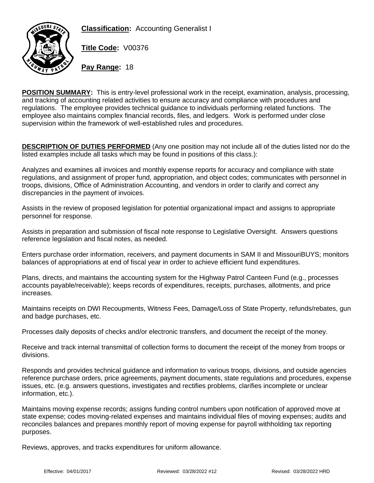**Classification:** Accounting Generalist I



**Title Code:** V00376

**Pay Range:** 18

**POSITION SUMMARY:** This is entry-level professional work in the receipt, examination, analysis, processing, and tracking of accounting related activities to ensure accuracy and compliance with procedures and regulations. The employee provides technical guidance to individuals performing related functions. The employee also maintains complex financial records, files, and ledgers. Work is performed under close supervision within the framework of well-established rules and procedures.

**DESCRIPTION OF DUTIES PERFORMED** (Any one position may not include all of the duties listed nor do the listed examples include all tasks which may be found in positions of this class.):

Analyzes and examines all invoices and monthly expense reports for accuracy and compliance with state regulations, and assignment of proper fund, appropriation, and object codes; communicates with personnel in troops, divisions, Office of Administration Accounting, and vendors in order to clarify and correct any discrepancies in the payment of invoices.

Assists in the review of proposed legislation for potential organizational impact and assigns to appropriate personnel for response.

Assists in preparation and submission of fiscal note response to Legislative Oversight. Answers questions reference legislation and fiscal notes, as needed.

Enters purchase order information, receivers, and payment documents in SAM II and MissouriBUYS; monitors balances of appropriations at end of fiscal year in order to achieve efficient fund expenditures.

Plans, directs, and maintains the accounting system for the Highway Patrol Canteen Fund (e.g., processes accounts payable/receivable); keeps records of expenditures, receipts, purchases, allotments, and price increases.

Maintains receipts on DWI Recoupments, Witness Fees, Damage/Loss of State Property, refunds/rebates, gun and badge purchases, etc.

Processes daily deposits of checks and/or electronic transfers, and document the receipt of the money.

Receive and track internal transmittal of collection forms to document the receipt of the money from troops or divisions.

Responds and provides technical guidance and information to various troops, divisions, and outside agencies reference purchase orders, price agreements, payment documents, state regulations and procedures, expense issues, etc. (e.g. answers questions, investigates and rectifies problems, clarifies incomplete or unclear information, etc.).

Maintains moving expense records; assigns funding control numbers upon notification of approved move at state expense; codes moving-related expenses and maintains individual files of moving expenses; audits and reconciles balances and prepares monthly report of moving expense for payroll withholding tax reporting purposes.

Reviews, approves, and tracks expenditures for uniform allowance.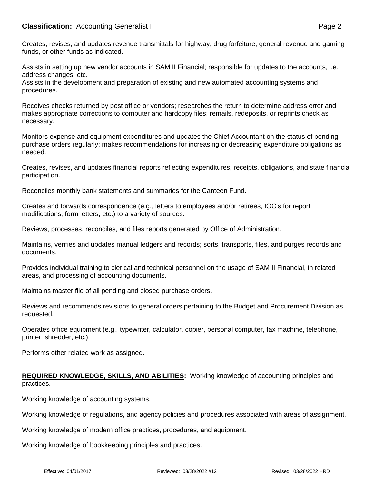## **Classification:** Accounting Generalist I **Classification:** Page 2

Creates, revises, and updates revenue transmittals for highway, drug forfeiture, general revenue and gaming funds, or other funds as indicated.

Assists in setting up new vendor accounts in SAM II Financial; responsible for updates to the accounts, i.e. address changes, etc.

Assists in the development and preparation of existing and new automated accounting systems and procedures.

Receives checks returned by post office or vendors; researches the return to determine address error and makes appropriate corrections to computer and hardcopy files; remails, redeposits, or reprints check as necessary.

Monitors expense and equipment expenditures and updates the Chief Accountant on the status of pending purchase orders regularly; makes recommendations for increasing or decreasing expenditure obligations as needed.

Creates, revises, and updates financial reports reflecting expenditures, receipts, obligations, and state financial participation.

Reconciles monthly bank statements and summaries for the Canteen Fund.

Creates and forwards correspondence (e.g., letters to employees and/or retirees, IOC's for report modifications, form letters, etc.) to a variety of sources.

Reviews, processes, reconciles, and files reports generated by Office of Administration.

Maintains, verifies and updates manual ledgers and records; sorts, transports, files, and purges records and documents.

Provides individual training to clerical and technical personnel on the usage of SAM II Financial, in related areas, and processing of accounting documents.

Maintains master file of all pending and closed purchase orders.

Reviews and recommends revisions to general orders pertaining to the Budget and Procurement Division as requested.

Operates office equipment (e.g., typewriter, calculator, copier, personal computer, fax machine, telephone, printer, shredder, etc.).

Performs other related work as assigned.

#### **REQUIRED KNOWLEDGE, SKILLS, AND ABILITIES:** Working knowledge of accounting principles and practices.

Working knowledge of accounting systems.

Working knowledge of regulations, and agency policies and procedures associated with areas of assignment.

Working knowledge of modern office practices, procedures, and equipment.

Working knowledge of bookkeeping principles and practices.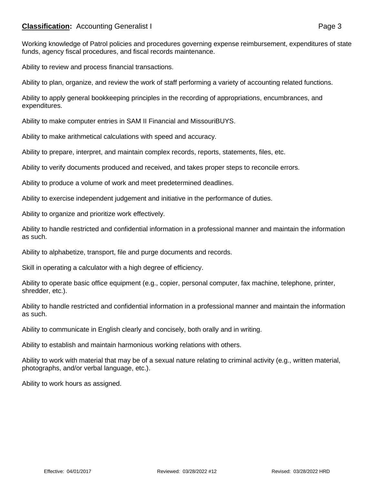## **Classification:** Accounting Generalist I **Classification:** Page 3

Working knowledge of Patrol policies and procedures governing expense reimbursement, expenditures of state funds, agency fiscal procedures, and fiscal records maintenance.

Ability to review and process financial transactions.

Ability to plan, organize, and review the work of staff performing a variety of accounting related functions.

Ability to apply general bookkeeping principles in the recording of appropriations, encumbrances, and expenditures.

Ability to make computer entries in SAM II Financial and MissouriBUYS.

Ability to make arithmetical calculations with speed and accuracy.

Ability to prepare, interpret, and maintain complex records, reports, statements, files, etc.

Ability to verify documents produced and received, and takes proper steps to reconcile errors.

Ability to produce a volume of work and meet predetermined deadlines.

Ability to exercise independent judgement and initiative in the performance of duties.

Ability to organize and prioritize work effectively.

Ability to handle restricted and confidential information in a professional manner and maintain the information as such.

Ability to alphabetize, transport, file and purge documents and records.

Skill in operating a calculator with a high degree of efficiency.

Ability to operate basic office equipment (e.g., copier, personal computer, fax machine, telephone, printer, shredder, etc.).

Ability to handle restricted and confidential information in a professional manner and maintain the information as such.

Ability to communicate in English clearly and concisely, both orally and in writing.

Ability to establish and maintain harmonious working relations with others.

Ability to work with material that may be of a sexual nature relating to criminal activity (e.g., written material, photographs, and/or verbal language, etc.).

Ability to work hours as assigned.